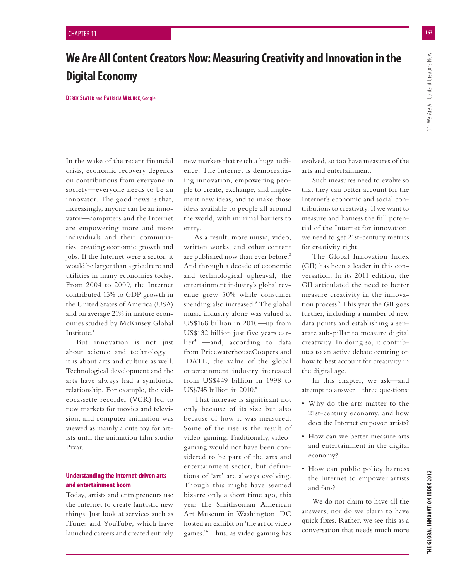# **We Are All Content Creators Now: Measuring Creativity and Innovation in the Digital Economy**

**DEREK SLATER** and **PATRICIA WRUUCK**, Google

In the wake of the recent financial crisis, economic recovery depends on contributions from everyone in society—everyone needs to be an innovator. The good news is that, increasingly, anyone can be an innovator—computers and the Internet are empowering more and more individuals and their communities, creating economic growth and jobs. If the Internet were a sector, it would be larger than agriculture and utilities in many economies today. From 2004 to 2009, the Internet contributed 15% to GDP growth in the United States of America (USA) and on average 21% in mature economies studied by McKinsey Global Institute.<sup>1</sup>

But innovation is not just about science and technology it is about arts and culture as well. Technological development and the arts have always had a symbiotic relationship. For example, the videocassette recorder (VCR) led to new markets for movies and television, and computer animation was viewed as mainly a cute toy for artists until the animation film studio Pixar.

# **Understanding the Internet-driven arts and entertainment boom**

Today, artists and entrepreneurs use the Internet to create fantastic new things. Just look at services such as iTunes and YouTube, which have launched careers and created entirely new markets that reach a huge audience. The Internet is democratizing innovation, empowering people to create, exchange, and implement new ideas, and to make those ideas available to people all around the world, with minimal barriers to entry.

As a result, more music, video, written works, and other content are published now than ever before.<sup>2</sup> And through a decade of economic and technological upheaval, the entertainment industry's global revenue grew 50% while consumer spending also increased.<sup>3</sup> The global music industry alone was valued at US\$168 billion in 2010—up from US\$132 billion just five years ear $lier<sup>4</sup>$  —and, according to data from PricewaterhouseCoopers and IDATE, the value of the global entertainment industry increased from US\$449 billion in 1998 to US\$745 billion in 2010.<sup>5</sup>

That increase is significant not only because of its size but also because of how it was measured. Some of the rise is the result of video-gaming. Traditionally, videogaming would not have been considered to be part of the arts and entertainment sector, but definitions of 'art' are always evolving. Though this might have seemed bizarre only a short time ago, this year the Smithsonian American Art Museum in Washington, DC hosted an exhibit on 'the art of video games.'6 Thus, as video gaming has evolved, so too have measures of the arts and entertainment.

Such measures need to evolve so that they can better account for the Internet's economic and social contributions to creativity. If we want to measure and harness the full potential of the Internet for innovation, we need to get 21st-century metrics for creativity right.

The Global Innovation Index (GII) has been a leader in this conversation. In its 2011 edition, the GII articulated the need to better measure creativity in the innovation process.7 This year the GII goes further, including a number of new data points and establishing a separate sub-pillar to measure digital creativity. In doing so, it contributes to an active debate centring on how to best account for creativity in the digital age.

In this chapter, we ask—and attempt to answer—three questions:

- Why do the arts matter to the 21st-century economy, and how does the Internet empower artists?
- How can we better measure arts and entertainment in the digital economy?
- How can public policy harness the Internet to empower artists and fans?

We do not claim to have all the answers, nor do we claim to have quick fixes. Rather, we see this as a conversation that needs much more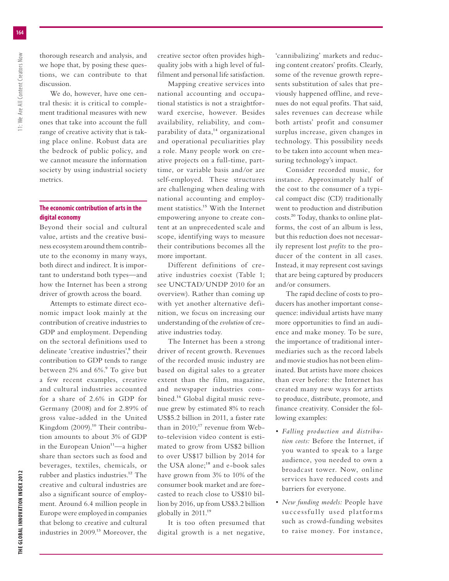thorough research and analysis, and we hope that, by posing these questions, we can contribute to that discussion.

We do, however, have one central thesis: it is critical to complement traditional measures with new ones that take into account the full range of creative activity that is taking place online. Robust data are the bedrock of public policy, and we cannot measure the information society by using industrial society metrics.

## **The economic contribution of arts in the digital economy**

Beyond their social and cultural value, artists and the creative business ecosystem around them contribute to the economy in many ways, both direct and indirect. It is important to understand both types—and how the Internet has been a strong driver of growth across the board.

Attempts to estimate direct economic impact look mainly at the contribution of creative industries to GDP and employment. Depending on the sectoral definitions used to delineate 'creative industries',<sup>8</sup> their contribution to GDP tends to range between 2% and 6%.<sup>9</sup> To give but a few recent examples, creative and cultural industries accounted for a share of 2.6% in GDP for Germany (2008) and for 2.89% of gross value-added in the United Kingdom (2009).<sup>10</sup> Their contribution amounts to about 3% of GDP in the European Union $11$ —a higher share than sectors such as food and beverages, textiles, chemicals, or rubber and plastics industries.12 The creative and cultural industries are also a significant source of employment. Around 6.4 million people in Europe were employed in companies that belong to creative and cultural industries in 2009.<sup>13</sup> Moreover, the creative sector often provides highquality jobs with a high level of fulfilment and personal life satisfaction.

Mapping creative services into national accounting and occupational statistics is not a straightforward exercise, however. Besides availability, reliability, and comparability of data,<sup>14</sup> organizational and operational peculiarities play a role. Many people work on creative projects on a full-time, parttime, or variable basis and/or are self-employed. These structures are challenging when dealing with national accounting and employment statistics.15 With the Internet empowering anyone to create content at an unprecedented scale and scope, identifying ways to measure their contributions becomes all the more important.

Different definitions of creative industries coexist (Table 1; see UNCTAD/UNDP 2010 for an overview). Rather than coming up with yet another alternative definition, we focus on increasing our understanding of the *evolution* of creative industries today.

The Internet has been a strong driver of recent growth. Revenues of the recorded music industry are based on digital sales to a greater extent than the film, magazine, and newspaper industries combined.16 Global digital music revenue grew by estimated 8% to reach US\$5.2 billion in 2011, a faster rate than in  $2010$ ;<sup>17</sup> revenue from Webto-television video content is estimated to grow from US\$2 billion to over US\$17 billion by 2014 for the USA alone;<sup>18</sup> and e-book sales have grown from 3% to 10% of the consumer book market and are forecasted to reach close to US\$10 billion by 2016, up from US\$3.2 billion globally in 2011.19

It is too often presumed that digital growth is a net negative,

'cannibalizing' markets and reducing content creators' profits. Clearly, some of the revenue growth represents substitution of sales that previously happened offline, and revenues do not equal profits. That said, sales revenues can decrease while both artists' profit and consumer surplus increase, given changes in technology. This possibility needs to be taken into account when measuring technology's impact.

Consider recorded music, for instance. Approximately half of the cost to the consumer of a typical compact disc (CD) traditionally went to production and distribution costs.20 Today, thanks to online platforms, the cost of an album is less, but this reduction does not necessarily represent lost *profits* to the producer of the content in all cases. Instead, it may represent cost savings that are being captured by producers and/or consumers.

The rapid decline of costs to producers has another important consequence: individual artists have many more opportunities to find an audience and make money. To be sure, the importance of traditional intermediaries such as the record labels and movie studios has not been eliminated. But artists have more choices than ever before: the Internet has created many new ways for artists to produce, distribute, promote, and finance creativity. Consider the following examples:

- *r Falling production and distribution costs:* Before the Internet, if you wanted to speak to a large audience, you needed to own a broadcast tower. Now, online services have reduced costs and barriers for everyone.
- *r New funding models:* People have successfully used platforms such as crowd-funding websites to raise money. For instance,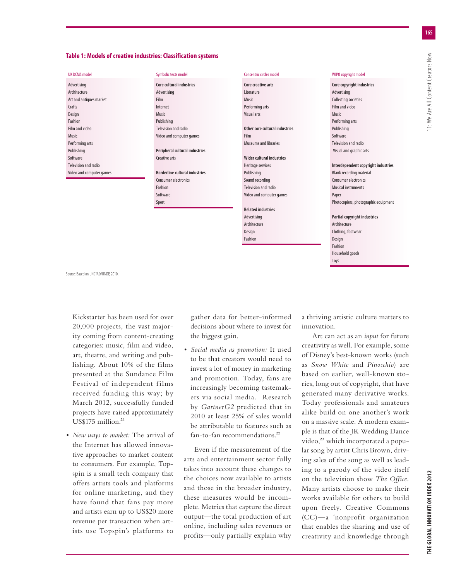### **Table 1: Models of creative industries: Classification systems**

#### UK DCMS model

| Advertising              |  |  |  |
|--------------------------|--|--|--|
| Architecture             |  |  |  |
| Art and antiques market  |  |  |  |
| Crafts                   |  |  |  |
| Design                   |  |  |  |
| Fashion                  |  |  |  |
| Film and video           |  |  |  |
| Music                    |  |  |  |
| Performing arts          |  |  |  |
| Publishing               |  |  |  |
| Software                 |  |  |  |
| Television and radio     |  |  |  |
| Video and computer games |  |  |  |

Symbolic texts model

| Core cultural industries              |  |  |  |
|---------------------------------------|--|--|--|
| Advertising                           |  |  |  |
| Film                                  |  |  |  |
| Internet                              |  |  |  |
| Music                                 |  |  |  |
| Publishing                            |  |  |  |
| Television and radio                  |  |  |  |
| Video and computer games              |  |  |  |
|                                       |  |  |  |
| Peripheral cultural industries        |  |  |  |
| Creative arts                         |  |  |  |
|                                       |  |  |  |
| <b>Borderline cultural industries</b> |  |  |  |
| Consumer electronics                  |  |  |  |
| Fashion                               |  |  |  |
| Software                              |  |  |  |

Sport

| Concentric circles model       |  |  |  |
|--------------------------------|--|--|--|
| Core creative arts             |  |  |  |
| <b>literature</b>              |  |  |  |
| Music                          |  |  |  |
| Performing arts                |  |  |  |
| <b>Visual arts</b>             |  |  |  |
|                                |  |  |  |
| Other core cultural industries |  |  |  |
| Film                           |  |  |  |
| Museums and libraries          |  |  |  |
|                                |  |  |  |
| Wider cultural industries      |  |  |  |
| Heritage services              |  |  |  |
| Publishing                     |  |  |  |
| Sound recording                |  |  |  |
| Television and radio           |  |  |  |
| Video and computer games       |  |  |  |
|                                |  |  |  |
| <b>Related industries</b>      |  |  |  |
| Advertising                    |  |  |  |
| Architecture                   |  |  |  |
| Design                         |  |  |  |
| Fashion                        |  |  |  |
|                                |  |  |  |

#### WIPO copyright model

| Core copyright industries            |  |
|--------------------------------------|--|
| Advertising                          |  |
| <b>Collecting societies</b>          |  |
| <b>Film and video</b>                |  |
| Music                                |  |
| Performing arts                      |  |
| Publishing                           |  |
| Software                             |  |
| Television and radio                 |  |
| Visual and graphic arts              |  |
|                                      |  |
| Interdependent copyright industries  |  |
| <b>Blank recording material</b>      |  |
| Consumer electronics                 |  |
| <b>Musical instruments</b>           |  |
| Paper                                |  |
| Photocopiers, photographic equipment |  |
|                                      |  |
| <b>Partial copyright industries</b>  |  |
| Architecture                         |  |
| Clothing, footwear                   |  |
| Design                               |  |
| Fashion                              |  |

Source: Based on UNCTAD/UNDP, 2010.

Kickstarter has been used for over 20,000 projects, the vast majority coming from content-creating categories: music, film and video, art, theatre, and writing and publishing. About 10% of the films presented at the Sundance Film Festival of independent films received funding this way; by March 2012, successfully funded projects have raised approximately  $US$175$  million.<sup>21</sup>

*r New ways to market:* The arrival of the Internet has allowed innovative approaches to market content to consumers. For example, Topspin is a small tech company that offers artists tools and platforms for online marketing, and they have found that fans pay more and artists earn up to US\$20 more revenue per transaction when artists use Topspin's platforms to

gather data for better-informed decisions about where to invest for the biggest gain.

*r Social media as promotion:* It used to be that creators would need to invest a lot of money in marketing and promotion. Today, fans are increasingly becoming tastemakers via social media. Research by *GartnerG2* predicted that in 2010 at least 25% of sales would be attributable to features such as fan-to-fan recommendations.<sup>22</sup>

Even if the measurement of the arts and entertainment sector fully takes into account these changes to the choices now available to artists and those in the broader industry, these measures would be incomplete. Metrics that capture the direct output—the total production of art online, including sales revenues or profits—only partially explain why a thriving artistic culture matters to innovation.

Household goods Toys

Art can act as an *input* for future creativity as well. For example, some of Disney's best-known works (such as *Snow White* and *Pinocchio*) are based on earlier, well-known stories, long out of copyright, that have generated many derivative works. Today professionals and amateurs alike build on one another's work on a massive scale. A modern example is that of the JK Wedding Dance video,<sup>23</sup> which incorporated a popular song by artist Chris Brown, driving sales of the song as well as leading to a parody of the video itself on the television show *The Office.* Many artists choose to make their works available for others to build upon freely. Creative Commons (CC)—a 'nonprofit organization that enables the sharing and use of creativity and knowledge through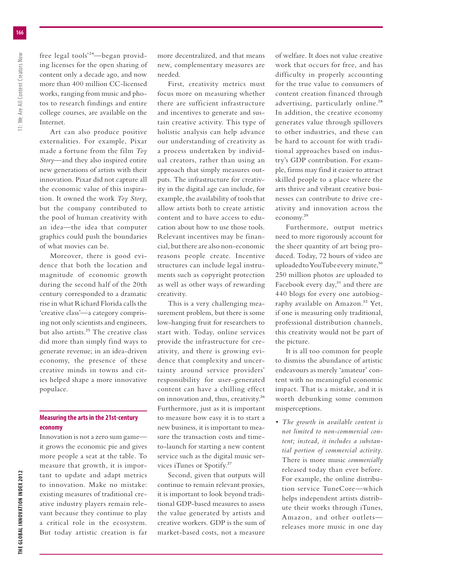free legal tools'24—began providing licenses for the open sharing of content only a decade ago, and now more than 400 million CC-licensed works, ranging from music and photos to research findings and entire college courses, are available on the Internet.

Art can also produce positive externalities. For example, Pixar made a fortune from the film *Toy Story*—and they also inspired entire new generations of artists with their innovation. Pixar did not capture all the economic value of this inspiration. It owned the work *Toy Story*, but the company contributed to the pool of human creativity with an idea—the idea that computer graphics could push the boundaries of what movies can be.

Moreover, there is good evidence that both the location and magnitude of economic growth during the second half of the 20th century corresponded to a dramatic rise in what Richard Florida calls the 'creative class'—a category comprising not only scientists and engineers, but also artists.25 The creative class did more than simply find ways to generate revenue; in an idea-driven economy, the presence of these creative minds in towns and cities helped shape a more innovative populace.

## **Measuring the arts in the 21st-century economy**

Innovation is not a zero sum game it grows the economic pie and gives more people a seat at the table. To measure that growth, it is important to update and adapt metrics to innovation. Make no mistake: existing measures of traditional creative industry players remain relevant because they continue to play a critical role in the ecosystem. But today artistic creation is far more decentralized, and that means new, complementary measures are needed.

First, creativity metrics must focus more on measuring whether there are sufficient infrastructure and incentives to generate and sustain creative activity. This type of holistic analysis can help advance our understanding of creativity as a process undertaken by individual creators, rather than using an approach that simply measures outputs. The infrastructure for creativity in the digital age can include, for example, the availability of tools that allow artists both to create artistic content and to have access to education about how to use those tools. Relevant incentives may be financial, but there are also non-economic reasons people create. Incentive structures can include legal instruments such as copyright protection as well as other ways of rewarding creativity.

This is a very challenging measurement problem, but there is some low-hanging fruit for researchers to start with. Today, online services provide the infrastructure for creativity, and there is growing evidence that complexity and uncertainty around service providers' responsibility for user-generated content can have a chilling effect on innovation and, thus, creativity.26 Furthermore, just as it is important to measure how easy it is to start a new business, it is important to measure the transaction costs and timeto-launch for starting a new content service such as the digital music services iTunes or Spotify.27

Second, given that outputs will continue to remain relevant proxies, it is important to look beyond traditional GDP-based measures to assess the value generated by artists and creative workers. GDP is the sum of market-based costs, not a measure

of welfare. It does not value creative work that occurs for free, and has difficulty in properly accounting for the true value to consumers of content creation financed through advertising, particularly online.<sup>28</sup> In addition, the creative economy generates value through spillovers to other industries, and these can be hard to account for with traditional approaches based on industry's GDP contribution. For example, firms may find it easier to attract skilled people to a place where the arts thrive and vibrant creative businesses can contribute to drive creativity and innovation across the economy.29

Furthermore, output metrics need to more rigorously account for the sheer quantity of art being produced. Today, 72 hours of video are uploaded to YouTube every minute,<sup>30</sup> 250 million photos are uploaded to Facebook every day, $31$  and there are 440 blogs for every one autobiography available on Amazon.<sup>32</sup> Yet, if one is measuring only traditional, professional distribution channels, this creativity would not be part of the picture.

It is all too common for people to dismiss the abundance of artistic endeavours as merely 'amateur' content with no meaningful economic impact. That is a mistake, and it is worth debunking some common misperceptions.

*r The growth in available content is not limited to non-commercial content; instead, it includes a substantial portion of commercial activity.* There is more music *commercially* released today than ever before. For example, the online distribution service TuneCore—which helps independent artists distribute their works through iTunes, Amazon, and other outlets releases more music in one day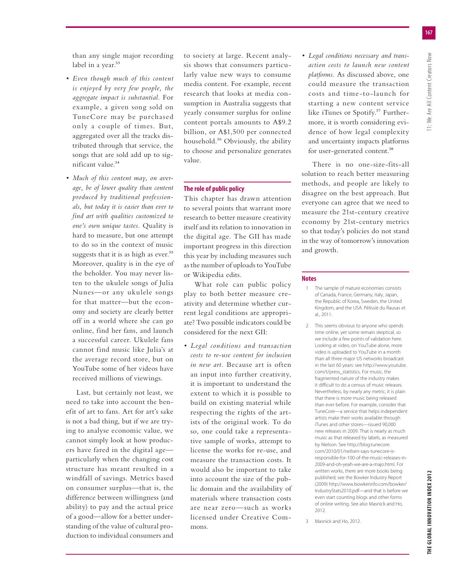than any single major recording label in a year.<sup>33</sup>

- *r Even though much of this content is enjoyed by very few people, the aggregate impact is substantial.* For example, a given song sold on TuneCore may be purchased only a couple of times. But, aggregated over all the tracks distributed through that service, the songs that are sold add up to significant value.34
- *r Much of this content may, on average, be of lower quality than content produced by traditional professionals, but today it is easier than ever to find art with qualities customized to one's own unique tastes.* Quality is hard to measure, but one attempt to do so in the context of music suggests that it is as high as ever.<sup>35</sup> Moreover, quality is in the eye of the beholder. You may never listen to the ukulele songs of Julia Nunes—or any ukulele songs for that matter—but the economy and society are clearly better off in a world where she can go online, find her fans, and launch a successful career. Ukulele fans cannot find music like Julia's at the average record store, but on YouTube some of her videos have received millions of viewings.

Last, but certainly not least, we need to take into account the benefit of art to fans. Art for art's sake is not a bad thing, but if we are trying to analyse economic value, we cannot simply look at how producers have fared in the digital age particularly when the changing cost structure has meant resulted in a windfall of savings. Metrics based on consumer surplus—that is, the difference between willingness (and ability) to pay and the actual price of a good—allow for a better understanding of the value of cultural production to individual consumers and to society at large. Recent analysis shows that consumers particularly value new ways to consume media content. For example, recent research that looks at media consumption in Australia suggests that yearly consumer surplus for online content portals amounts to A\$9.2 billion, or A\$1,500 per connected household.36 Obviously, the ability to choose and personalize generates value.

## **The role of public policy**

This chapter has drawn attention to several points that warrant more research to better measure creativity itself and its relation to innovation in the digital age. The GII has made important progress in this direction this year by including measures such as the number of uploads to YouTube or Wikipedia edits.

What role can public policy play to both better measure creativity and determine whether current legal conditions are appropriate? Two possible indicators could be considered for the next GII:

*r Legal conditions and transaction costs to re-use content for inclusion in new art.* Because art is often an input into further creativity, it is important to understand the extent to which it is possible to build on existing material while respecting the rights of the artists of the original work. To do so, one could take a representative sample of works, attempt to license the works for re-use, and measure the transaction costs. It would also be important to take into account the size of the public domain and the availability of materials where transaction costs are near zero—such as works licensed under Creative Commons.

*r Legal conditions necessary and transaction costs to launch new content platforms.* As discussed above, one could measure the transaction costs and time-to-launch for starting a new content service like iTunes or Spotify.<sup>37</sup> Furthermore, it is worth considering evidence of how legal complexity and uncertainty impacts platforms for user-generated content.<sup>38</sup>

There is no one-size-fits-all solution to reach better measuring methods, and people are likely to disagree on the best approach. But everyone can agree that we need to measure the 21st-century creative economy by 21st-century metrics so that today's policies do not stand in the way of tomorrow's innovation and growth.

## **Notes**

- 1 The sample of mature economies consists of Canada, France, Germany, Italy, Japan, the Republic of Korea, Sweden, the United Kingdom, and the USA. Pélissié du Rausas et al., 2011.
- 2 This seems obvious to anyone who spends time online, yet some remain skeptical, so we include a few points of validation here. Looking at video, on YouTube alone, more video is uploaded to YouTube in a month than all three major US networks broadcast in the last 60 years: see http://www.youtube. com/t/press\_statistics. For music, the fragmented nature of the industry makes it difficult to do a census of music releases. Nevertheless, by nearly any metric, it is plain that there is more music being released than ever before. For example, consider that TuneCore—a service that helps independent artists make their works available through iTunes and other stores—issued 90,000 new releases in 2009. That is nearly as much music as that released by labels, as measured by Nielson. See http://blog.tunecore. com/2010/01/neilsen-says-tunecore-isresponsible-for-100-of-the-music-releases-in-2009-and-oh-yeah-we-are-a-majo.html. For written works, there are more books being published; see the Bowker Industry Report (2009) http://www.bowkerinfo.com/bowker/ IndustryStats2010.pdf—and that is before we even start counting blogs and other forms of online writing. See also Masnick and Ho, 2012.

 <sup>3</sup> Masnick and Ho, 2012.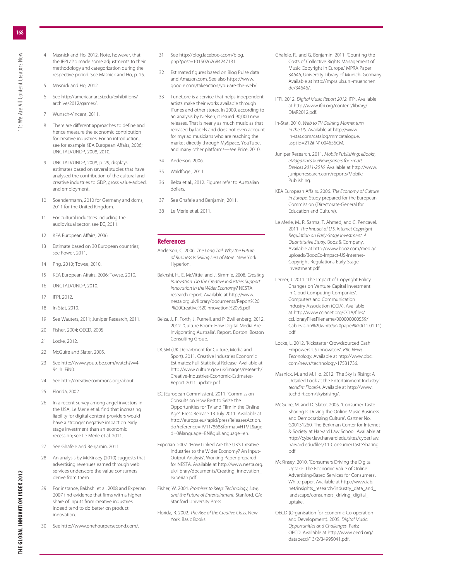- 4 Masnick and Ho, 2012. Note, however, that the IFPI also made some adjustments to their methodology and categorization during the respective period. See Masnick and Ho, p. 25.
- 5 Masnick and Ho, 2012.
- See http://americanart.si.edu/exhibitions/ archive/2012/games/.
- 7 Wunsch-Vincent, 2011.
- 8 There are different approaches to define and hence measure the economic contribution for creative industries. For an introduction, see for example KEA European Affairs, 2006; UNCTAD/UNDP, 2008, 2010.
- UNCTAD/UNDP, 2008, p. 29, displays estimates based on several studies that have analysed the contribution of the cultural and creative industries to GDP, gross value-added, and employment.
- 10 Soendermann, 2010 for Germany and dcms, 2011 for the United Kingdom.
- 11 For cultural industries including the audiovisual sector, see EC, 2011.
- 12 KEA European Affairs, 2006.
- 13 Estimate based on 30 European countries; see Power, 2011.
- 14 Png, 2010; Towse, 2010.
- 15 KEA European Affairs, 2006; Towse, 2010.
- 16 UNCTAD/UNDP, 2010.
- 17 IFPI, 2012.
- 18 In-Stat, 2010.
- 19 See Wauters, 2011; Juniper Research, 2011.
- 20 Fisher, 2004; OECD, 2005.
- 21 Locke, 2012.
- 22 McGuire and Slater, 2005.
- 23 See http://www.youtube.com/watch?v=4- 94 JhLFiN0
- 24 See http://creativecommons.org/about.
- 25 Florida, 2002.
- 26 In a recent survey among angel investors in the USA, Le Merle et al. find that increasing liability for digital content providers would have a stronger negative impact on early stage investment than an economic recession; see Le Merle et al. 2011.
- 27 See Ghafele and Benjamin, 2011.
- 28 An analysis by McKinsey (2010) suggests that advertising revenues earned through web services underscore the value consumers derive from them.
- 29 For instance, Bakhshi et al. 2008 and Experian 2007 find evidence that firms with a higher share of inputs from creative industries indeed tend to do better on product innovation.
- See http://www.onehourpersecond.com/.
- 31 See http://blog.facebook.com/blog. php?post=10150262684247131.
- 32 Estimated figures based on Blog Pulse data and Amazon.com. See also https://www. google.com/takeaction/you-are-the-web/.
- 33 TuneCore is a service that helps independent artists make their works available through iTunes and other stores. In 2009, according to an analysis by Nielsen, it issued 90,000 new releases. That is nearly as much music as that released by labels and does not even account for myriad musicians who are reaching the market directly through MySpace, YouTube, and many other platforms—see Price, 2010.
- 34 Anderson, 2006.
- 35 Waldfogel, 2011.
- 36 Belza et al., 2012. Figures refer to Australian dollars.
- 37 See Ghafele and Benjamin, 2011.
- Le Merle et al. 2011.

#### **References**

- Anderson, C. 2006. *The Long Tail: Why the Future of Business Is Selling Less of More.* New York: Hyperion.
- Bakhshi, H., E. McVittie, and J. Simmie. 2008. *Creating Innovation: Do the Creative Industries Support Innovation in the Wider Economy?* NESTA research report. Available at http://www. nesta.org.uk/library/documents/Report%20 -%20Creative%20Innovation%20v5.pdf
- Belza, J., P. Forth, J. Purnell, and P. Zwillenberg. 2012. 2012. 'Culture Boom: How Digital Media Are Invigorating Australia'. Report. Boston: Boston Consulting Group.
- DCSM (UK Department for Culture, Media and Sport). 2011. Creative Industries Economic Estimates: Full Statistical Release. Available at http://www.culture.gov.uk/images/research/ Creative-Industries-Economic-Estimates-Report-2011-update.pdf
- EC (European Commission). 2011. 'Commission Consults on How Best to Seize the Opportunities for TV and Film in the Online Age'. Press Release 13 July 2011. Available at http://europa.eu/rapid/pressReleasesAction. do?reference=IP/11/868&format=HTML&age d=0&language=EN&guiLanguage=en.
- Experian. 2007. 'How Linked Are the UK's Creative Industries to the Wider Economy? An Input-Output Analysis'. Working Paper prepared for NESTA. Available at http://www.nesta.org. uk/library/documents/Creating\_innovation\_ experian.pdf.
- Fisher, W. 2004. *Promises to Keep: Technology, Law, and the Future of Entertainment.* Stanford, CA: Stanford University Press.
- Florida, R. 2002. *The Rise of the Creative Class.* New York: Basic Books.
- Ghafele, R., and G. Benjamin. 2011. 'Counting the Costs of Collective Rights Management of Music Copyright in Europe.' MPRA Paper 34646, University Library of Munich, Germany. Available at http://mpra.ub.uni-muenchen. de/34646/.
- IFPI. 2012. *Digital Music Report 2012.* IFPI. Available at http://www.ifpi.org/content/library/ DMR2012.pdf.
- In-Stat. 2010. *Web to TV Gaining Momentum in the US.* Available at http://www. in-stat.com/catalog/mmcatalogue. asp?id=212#IN1004655CM.
- Juniper Research. 2011. *Mobile Publishing: eBooks, eMagazines & eNewspapers for Smart Devices 2011-2016.* Available at http://www. juniperresearch.com/reports/Mobile\_ Publishing.
- KEA European Affairs. 2006. *The Economy of Culture in Europe.* Study prepared for the European Commission (Directorate-General for Education and Culture).
- Le Merle, M., R. Sarma, T. Ahmed, and C. Pencavel. 2011. *The Impact of U.S. Internet Copyright Regulation on Early-Stage Investment: A Quantitative Study.* Booz & Company. Available at http://www.booz.com/media/ uploads/BoozCo-Impact-US-Internet-Copyright-Regulations-Early-Stage-Investment.pdf.
- Lerner, J. 2011. The Impact of Copyright Policy Changes on Venture Capital Investment in Cloud Computing Companies'. Computers and Communication Industry Association (CCIA). Available at http://www.ccianet.org/CCIA/files/ ccLibraryFilesFilename/000000000559/ Cablevision%20white%20paper%20(11.01.11). pdf.
- Locke, L. 2012. 'Kickstarter Crowdsourced Cash Empowers US innovators'. *BBC News Technology.* Available at http://www.bbc. com/news/technology-17531736.
- Masnick, M. and M. Ho. 2012. The Sky Is Rising: A Detailed Look at the Entertainment Industry'. *techdirt: Floor64.* Available at http://www. techdirt.com/skyisrising/.
- McGuire, M. and D. Slater. 2005. 'Consumer Taste Sharing Is Driving the Online Music Business and Democratizing Culture'. Gartner No. G00131260. The Berkman Center for Internet & Society at Harvard Law School. Available at http://cyber.law.harvard.edu/sites/cyber.law. harvard.edu/files/11-ConsumerTasteSharing. pdf.
- McKinsey. 2010. 'Consumers Driving the Digital Uptake: The Economic Value of Online Advertising-Based Services for Consumers'. White paper. Available at http://www.iab. net/insights\_research/industry\_data\_and\_ landscape/consumers\_driving\_digital\_ uptake.
- OECD (Organisation for Economic Co-operation and Development). 2005. *Digital Music: Opportunities and Challenges.* Paris: OECD. Available at http://www.oecd.org/ dataoecd/13/2/34995041.pdf.